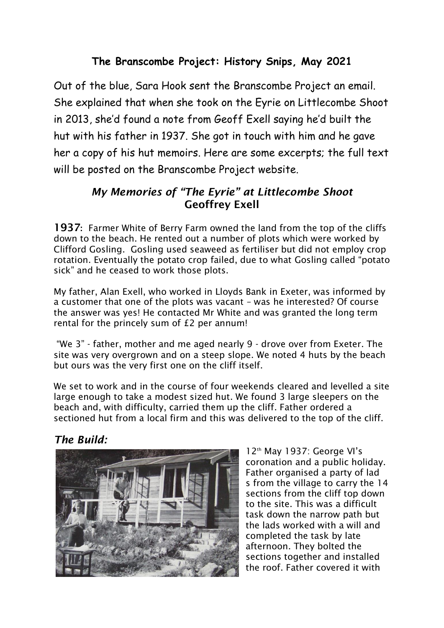# **The Branscombe Project: History Snips, May 2021**

Out of the blue, Sara Hook sent the Branscombe Project an email. She explained that when she took on the Eyrie on Littlecombe Shoot in 2013, she'd found a note from Geoff Exell saying he'd built the hut with his father in 1937. She got in touch with him and he gave her a copy of his hut memoirs. Here are some excerpts; the full text will be posted on the Branscombe Project website.

## *My Memories of "The Eyrie" at Littlecombe Shoot*  Geoffrey Exell

1937: Farmer White of Berry Farm owned the land from the top of the cliffs down to the beach. He rented out a number of plots which were worked by Clifford Gosling. Gosling used seaweed as fertiliser but did not employ crop rotation. Eventually the potato crop failed, due to what Gosling called "potato sick" and he ceased to work those plots.

My father, Alan Exell, who worked in Lloyds Bank in Exeter, was informed by a customer that one of the plots was vacant – was he interested? Of course the answer was yes! He contacted Mr White and was granted the long term rental for the princely sum of £2 per annum!

"We 3" - father, mother and me aged nearly 9 - drove over from Exeter. The site was very overgrown and on a steep slope. We noted 4 huts by the beach but ours was the very first one on the cliff itself.

We set to work and in the course of four weekends cleared and levelled a site large enough to take a modest sized hut. We found 3 large sleepers on the beach and, with difficulty, carried them up the cliff. Father ordered a sectioned hut from a local firm and this was delivered to the top of the cliff.

# *The Build:*



12th May 1937: George VI's coronation and a public holiday. Father organised a party of lad s from the village to carry the 14 sections from the cliff top down to the site. This was a difficult task down the narrow path but the lads worked with a will and completed the task by late afternoon. They bolted the sections together and installed the roof. Father covered it with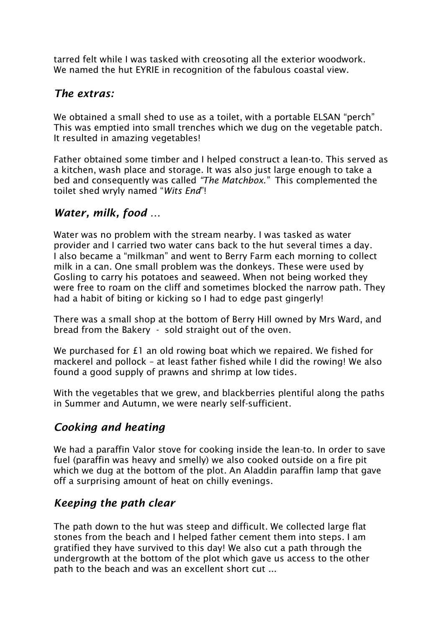tarred felt while I was tasked with creosoting all the exterior woodwork. We named the hut EYRIE in recognition of the fabulous coastal view.

#### *The extras:*

We obtained a small shed to use as a toilet, with a portable ELSAN "perch" This was emptied into small trenches which we dug on the vegetable patch. It resulted in amazing vegetables!

Father obtained some timber and I helped construct a lean-to. This served as a kitchen, wash place and storage. It was also just large enough to take a bed and consequently was called *"The Matchbox."* This complemented the toilet shed wryly named "*Wits End*"!

### *Water, milk, food …*

Water was no problem with the stream nearby. I was tasked as water provider and I carried two water cans back to the hut several times a day. I also became a "milkman" and went to Berry Farm each morning to collect milk in a can. One small problem was the donkeys. These were used by Gosling to carry his potatoes and seaweed. When not being worked they were free to roam on the cliff and sometimes blocked the narrow path. They had a habit of biting or kicking so I had to edge past gingerly!

There was a small shop at the bottom of Berry Hill owned by Mrs Ward, and bread from the Bakery - sold straight out of the oven.

We purchased for £1 an old rowing boat which we repaired. We fished for mackerel and pollock – at least father fished while I did the rowing! We also found a good supply of prawns and shrimp at low tides.

With the vegetables that we grew, and blackberries plentiful along the paths in Summer and Autumn, we were nearly self-sufficient.

### *Cooking and heating*

We had a paraffin Valor stove for cooking inside the lean-to. In order to save fuel (paraffin was heavy and smelly) we also cooked outside on a fire pit which we dug at the bottom of the plot. An Aladdin paraffin lamp that gave off a surprising amount of heat on chilly evenings.

### *Keeping the path clear*

The path down to the hut was steep and difficult. We collected large flat stones from the beach and I helped father cement them into steps. I am gratified they have survived to this day! We also cut a path through the undergrowth at the bottom of the plot which gave us access to the other path to the beach and was an excellent short cut ...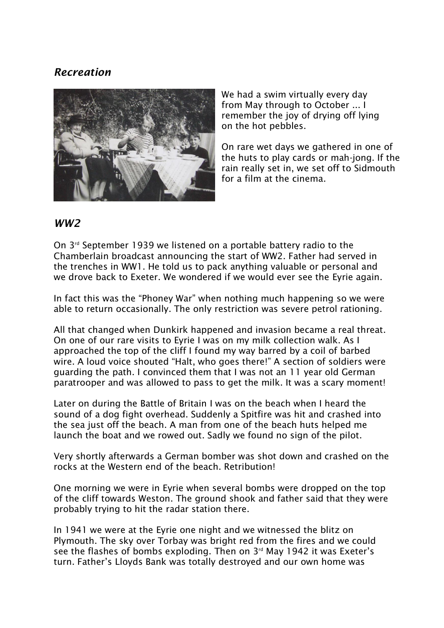## *Recreation*



We had a swim virtually every day from May through to October ... I remember the joy of drying off lying on the hot pebbles.

On rare wet days we gathered in one of the huts to play cards or mah-jong. If the rain really set in, we set off to Sidmouth for a film at the cinema.

#### *WW2*

On 3rd September 1939 we listened on a portable battery radio to the Chamberlain broadcast announcing the start of WW2. Father had served in the trenches in WW1. He told us to pack anything valuable or personal and we drove back to Exeter. We wondered if we would ever see the Eyrie again.

In fact this was the "Phoney War" when nothing much happening so we were able to return occasionally. The only restriction was severe petrol rationing.

All that changed when Dunkirk happened and invasion became a real threat. On one of our rare visits to Eyrie I was on my milk collection walk. As I approached the top of the cliff I found my way barred by a coil of barbed wire. A loud voice shouted "Halt, who goes there!" A section of soldiers were guarding the path. I convinced them that I was not an 11 year old German paratrooper and was allowed to pass to get the milk. It was a scary moment!

Later on during the Battle of Britain I was on the beach when I heard the sound of a dog fight overhead. Suddenly a Spitfire was hit and crashed into the sea just off the beach. A man from one of the beach huts helped me launch the boat and we rowed out. Sadly we found no sign of the pilot.

Very shortly afterwards a German bomber was shot down and crashed on the rocks at the Western end of the beach. Retribution!

One morning we were in Eyrie when several bombs were dropped on the top of the cliff towards Weston. The ground shook and father said that they were probably trying to hit the radar station there.

In 1941 we were at the Eyrie one night and we witnessed the blitz on Plymouth. The sky over Torbay was bright red from the fires and we could see the flashes of bombs exploding. Then on 3<sup>rd</sup> May 1942 it was Exeter's turn. Father's Lloyds Bank was totally destroyed and our own home was